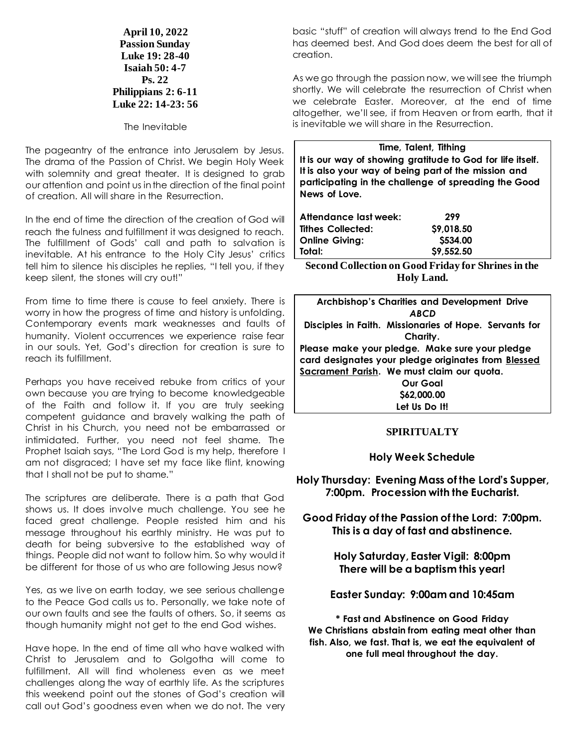**April 10, 2022 Passion Sunday Luke 19: 28-40 Isaiah 50: 4-7 Ps. 22 Philippians 2: 6-11 Luke 22: 14-23: 56**

The Inevitable

The pageantry of the entrance into Jerusalem by Jesus. The drama of the Passion of Christ. We begin Holy Week with solemnity and great theater. It is designed to grab our attention and point us in the direction of the final point of creation. All will share in the Resurrection.

In the end of time the direction of the creation of God will reach the fulness and fulfillment it was designed to reach. The fulfillment of Gods' call and path to salvation is inevitable. At his entrance to the Holy City Jesus' critics tell him to silence his disciples he replies, "I tell you, if they keep silent, the stones will cry out!"

From time to time there is cause to feel anxiety. There is worry in how the progress of time and history is unfolding. Contemporary events mark weaknesses and faults of humanity. Violent occurrences we experience raise fear in our souls. Yet, God's direction for creation is sure to reach its fulfillment.

Perhaps you have received rebuke from critics of your own because you are trying to become knowledgeable of the Faith and follow it. If you are truly seeking competent guidance and bravely walking the path of Christ in his Church, you need not be embarrassed or intimidated. Further, you need not feel shame. The Prophet Isaiah says, "The Lord God is my help, therefore I am not disgraced; I have set my face like flint, knowing that I shall not be put to shame."

The scriptures are deliberate. There is a path that God shows us. It does involve much challenge. You see he faced great challenge. People resisted him and his message throughout his earthly ministry. He was put to death for being subversive to the established way of things. People did not want to follow him. So why would it be different for those of us who are following Jesus now?

Yes, as we live on earth today, we see serious challenge to the Peace God calls us to. Personally, we take note of our own faults and see the faults of others. So, it seems as though humanity might not get to the end God wishes.

Have hope. In the end of time all who have walked with Christ to Jerusalem and to Golgotha will come to fulfillment. All will find wholeness even as we meet challenges along the way of earthly life. As the scriptures this weekend point out the stones of God's creation will call out God's goodness even when we do not. The very

basic "stuff" of creation will always trend to the End God has deemed best. And God does deem the best for all of creation.

As we go through the passion now, we will see the triumph shortly. We will celebrate the resurrection of Christ when we celebrate Easter. Moreover, at the end of time altogether, we'll see, if from Heaven or from earth, that it is inevitable we will share in the Resurrection.

**Time, Talent, Tithing It is our way of showing gratitude to God for life itself. It is also your way of being part of the mission and participating in the challenge of spreading the Good News of Love.**

| Attendance last week:    | 299        |
|--------------------------|------------|
| <b>Tithes Collected:</b> | \$9,018.50 |
| <b>Online Giving:</b>    | \$534.00   |
| Total:                   | \$9,552.50 |

**Second Collection on Good Friday for Shrines in the Holy Land.**

| <b>Archbishop's Charities and Development Drive</b>    |  |
|--------------------------------------------------------|--|
| ABCD                                                   |  |
| Disciples in Faith. Missionaries of Hope. Servants for |  |
| Charity.                                               |  |
| Please make your pledge. Make sure your pledge         |  |
| card designates your pledge originates from Blessed    |  |
| Sacrament Parish. We must claim our quota.             |  |
| <b>Our Goal</b>                                        |  |
| \$62,000.00                                            |  |
| Let Us Do It!                                          |  |
|                                                        |  |

#### **SPIRITUALTY**

#### **Holy Week Schedule**

**Holy Thursday: Evening Mass of the Lord's Supper, 7:00pm. Procession with the Eucharist.**

**Good Friday of the Passion of the Lord: 7:00pm. This is a day of fast and abstinence.**

> **Holy Saturday, Easter Vigil: 8:00pm There will be a baptism this year!**

**Easter Sunday: 9:00am and 10:45am**

**\* Fast and Abstinence on Good Friday We Christians abstain from eating meat other than fish. Also, we fast. That is, we eat the equivalent of one full meal throughout the day.**